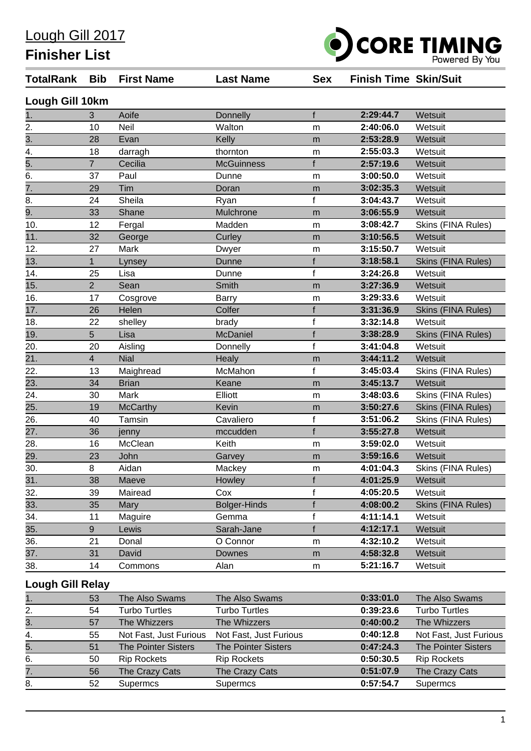Lough Gill 2017

**Finisher List**



| <b>TotalRank</b>        | Bib                     | <b>First Name</b>          | <b>Last Name</b>           | <b>Sex</b>   | <b>Finish Time Skin/Suit</b> |                            |  |  |  |  |
|-------------------------|-------------------------|----------------------------|----------------------------|--------------|------------------------------|----------------------------|--|--|--|--|
| Lough Gill 10km         |                         |                            |                            |              |                              |                            |  |  |  |  |
| 1.                      | 3                       | Aoife                      | Donnelly                   | f            | 2:29:44.7                    | Wetsuit                    |  |  |  |  |
| 2.                      | 10                      | Neil                       | Walton                     | m            | 2:40:06.0                    | Wetsuit                    |  |  |  |  |
| $\overline{3}$ .        | 28                      | Evan                       | Kelly                      | m            | 2:53:28.9                    | Wetsuit                    |  |  |  |  |
| 4.                      | 18                      | darragh                    | thornton                   | m            | 2:55:03.3                    | Wetsuit                    |  |  |  |  |
| 5.                      | $\overline{7}$          | Cecilia                    | <b>McGuinness</b>          | f            | 2:57:19.6                    | Wetsuit                    |  |  |  |  |
| 6.                      | 37                      | Paul                       | Dunne                      | m            | 3:00:50.0                    | Wetsuit                    |  |  |  |  |
| $\overline{7}$ .        | 29                      | Tim                        | Doran                      | m            | 3:02:35.3                    | Wetsuit                    |  |  |  |  |
| 8.                      | 24                      | Sheila                     | Ryan                       | $\mathbf f$  | 3:04:43.7                    | Wetsuit                    |  |  |  |  |
| 9.                      | 33                      | Shane                      | Mulchrone                  | m            | 3:06:55.9                    | Wetsuit                    |  |  |  |  |
| 10.                     | 12                      | Fergal                     | Madden                     | m            | 3:08:42.7                    | Skins (FINA Rules)         |  |  |  |  |
| 11.                     | 32                      | George                     | Curley                     | m            | 3:10:56.5                    | Wetsuit                    |  |  |  |  |
| 12.                     | 27                      | Mark                       | Dwyer                      | m            | 3:15:50.7                    | Wetsuit                    |  |  |  |  |
| 13.                     | 1                       | Lynsey                     | Dunne                      | f            | 3:18:58.1                    | <b>Skins (FINA Rules)</b>  |  |  |  |  |
| 14.                     | 25                      | Lisa                       | Dunne                      | $\mathbf{f}$ | 3:24:26.8                    | Wetsuit                    |  |  |  |  |
| 15.                     | $\overline{2}$          | Sean                       | Smith                      | m            | 3:27:36.9                    | Wetsuit                    |  |  |  |  |
| 16.                     | 17                      | Cosgrove                   | Barry                      | m            | 3:29:33.6                    | Wetsuit                    |  |  |  |  |
| 17.                     | 26                      | Helen                      | Colfer                     | f            | 3:31:36.9                    | Skins (FINA Rules)         |  |  |  |  |
| 18.                     | 22                      | shelley                    | brady                      | f            | 3:32:14.8                    | Wetsuit                    |  |  |  |  |
| 19.                     | 5                       | Lisa                       | McDaniel                   | f            | 3:38:28.9                    | Skins (FINA Rules)         |  |  |  |  |
| 20.                     | 20                      | Aisling                    | Donnelly                   | f            | 3:41:04.8                    | Wetsuit                    |  |  |  |  |
| 21.                     | $\overline{\mathbf{4}}$ | <b>Nial</b>                | Healy                      | m            | 3:44:11.2                    | Wetsuit                    |  |  |  |  |
| 22.                     | 13                      | Maighread                  | McMahon                    | f            | 3:45:03.4                    | Skins (FINA Rules)         |  |  |  |  |
| 23.                     | 34                      | <b>Brian</b>               | Keane                      | m            | 3:45:13.7                    | Wetsuit                    |  |  |  |  |
| 24.                     | 30                      | Mark                       | Elliott                    | m            | 3:48:03.6                    | Skins (FINA Rules)         |  |  |  |  |
| 25.                     | 19                      | <b>McCarthy</b>            | Kevin                      | m            | 3:50:27.6                    | <b>Skins (FINA Rules)</b>  |  |  |  |  |
| 26.                     | 40                      | Tamsin                     | Cavaliero                  | $\mathbf{f}$ | 3:51:06.2                    | Skins (FINA Rules)         |  |  |  |  |
| 27.                     | 36                      | jenny                      | mccudden                   | f            | 3:55:27.8                    | Wetsuit                    |  |  |  |  |
| 28.                     | 16                      | McClean                    | Keith                      | m            | 3:59:02.0                    | Wetsuit                    |  |  |  |  |
| 29.                     | 23                      | John                       | Garvey                     | m            | 3:59:16.6                    | Wetsuit                    |  |  |  |  |
| 30.                     | 8                       | Aidan                      | Mackey                     | m            | 4:01:04.3                    | Skins (FINA Rules)         |  |  |  |  |
| 31.                     | 38                      | Maeve                      | Howley                     |              | 4:01:25.9                    | Wetsuit                    |  |  |  |  |
| 32.                     | 39                      | Mairead                    | Cox                        |              | 4:05:20.5                    | Wetsuit                    |  |  |  |  |
| 33.                     | 35                      | Mary                       | <b>Bolger-Hinds</b>        |              | 4:08:00.2                    | <b>Skins (FINA Rules)</b>  |  |  |  |  |
| 34.                     | 11                      | Maguire                    | Gemma                      |              | 4:11:14.1                    | Wetsuit                    |  |  |  |  |
| 35.                     | 9                       | Lewis                      | Sarah-Jane                 |              | 4:12:17.1                    | Wetsuit                    |  |  |  |  |
| 36.                     | 21                      | Donal                      | O Connor                   | m            | 4:32:10.2                    | Wetsuit                    |  |  |  |  |
| 37.                     | 31                      | David                      | Downes                     | m            | 4:58:32.8                    | Wetsuit                    |  |  |  |  |
| 38.                     | 14                      | Commons                    | Alan                       | m            | 5:21:16.7                    | Wetsuit                    |  |  |  |  |
| <b>Lough Gill Relay</b> |                         |                            |                            |              |                              |                            |  |  |  |  |
| 1.                      | 53                      | The Also Swams             | The Also Swams             |              | 0:33:01.0                    | The Also Swams             |  |  |  |  |
| 2.                      | 54                      | <b>Turbo Turtles</b>       | <b>Turbo Turtles</b>       |              | 0:39:23.6                    | <b>Turbo Turtles</b>       |  |  |  |  |
| $\overline{3}$ .        | 57                      | The Whizzers               | The Whizzers               |              | 0:40:00.2                    | The Whizzers               |  |  |  |  |
| 4.                      | 55                      | Not Fast, Just Furious     | Not Fast, Just Furious     |              | 0:40:12.8                    | Not Fast, Just Furious     |  |  |  |  |
| 5.                      | 51                      | <b>The Pointer Sisters</b> | <b>The Pointer Sisters</b> |              | 0:47:24.3                    | <b>The Pointer Sisters</b> |  |  |  |  |
| 6.                      | 50                      | <b>Rip Rockets</b>         | <b>Rip Rockets</b>         |              | 0:50:30.5                    | <b>Rip Rockets</b>         |  |  |  |  |
| 7.                      | 56                      | The Crazy Cats             | The Crazy Cats             |              | 0:51:07.9                    | The Crazy Cats             |  |  |  |  |
| 8.                      | 52                      | Supermcs                   | Supermcs                   |              | 0:57:54.7                    | Supermcs                   |  |  |  |  |
|                         |                         |                            |                            |              |                              |                            |  |  |  |  |